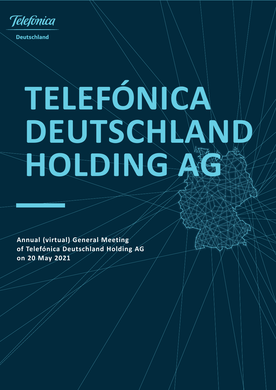**Telefonica** 

**Deutschland** 

# **TELEFÓNICA DEUTSCHLAI HOLDING**

**Annual (virtual) General Meeting of Telefónica Deutschland Holding AG on 20 May 2021**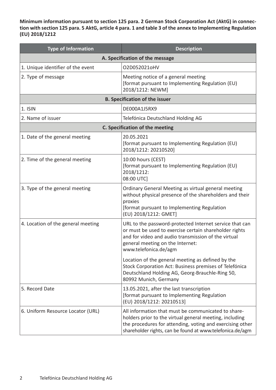**Minimum information pursuant to section 125 para. 2 German Stock Corporation Act (AktG) in connection with section 125 para. 5 AktG, article 4 para. 1 and table 3 of the annex to Implementing Regulation (EU) 2018/1212**

| <b>Type of Information</b>         | <b>Description</b>                                                                                                                                                                                                                       |  |  |
|------------------------------------|------------------------------------------------------------------------------------------------------------------------------------------------------------------------------------------------------------------------------------------|--|--|
| A. Specification of the message    |                                                                                                                                                                                                                                          |  |  |
| 1. Unique identifier of the event  | O2D052021oHV                                                                                                                                                                                                                             |  |  |
| 2. Type of message                 | Meeting notice of a general meeting<br>[format pursuant to Implementing Regulation (EU)<br>2018/1212: NEWM]                                                                                                                              |  |  |
|                                    | <b>B. Specification of the issuer</b>                                                                                                                                                                                                    |  |  |
| 1. ISIN                            | DE000A1J5RX9                                                                                                                                                                                                                             |  |  |
| 2. Name of issuer                  | Telefónica Deutschland Holding AG                                                                                                                                                                                                        |  |  |
|                                    | C. Specification of the meeting                                                                                                                                                                                                          |  |  |
| 1. Date of the general meeting     | 20.05.2021<br>[format pursuant to Implementing Regulation (EU)<br>2018/1212: 20210520]                                                                                                                                                   |  |  |
| 2. Time of the general meeting     | 10:00 hours (CEST)<br>[format pursuant to Implementing Regulation (EU)<br>2018/1212:<br>08:00 UTC]                                                                                                                                       |  |  |
| 3. Type of the general meeting     | Ordinary General Meeting as virtual general meeting<br>without physical presence of the shareholders and their<br>proxies<br>[format pursuant to Implementing Regulation<br>(EU) 2018/1212: GMET]                                        |  |  |
| 4. Location of the general meeting | URL to the password-protected Internet service that can<br>or must be used to exercise certain shareholder rights<br>and for video and audio transmission of the virtual<br>general meeting on the Internet:<br>www.telefonica.de/agm    |  |  |
|                                    | Location of the general meeting as defined by the<br>Stock Corporation Act: Business premises of Telefónica<br>Deutschland Holding AG, Georg-Brauchle-Ring 50,<br>80992 Munich, Germany                                                  |  |  |
| 5. Record Date                     | 13.05.2021, after the last transcription<br>[format pursuant to Implementing Regulation<br>(EU) 2018/1212: 20210513]                                                                                                                     |  |  |
| 6. Uniform Resource Locator (URL)  | All information that must be communicated to share-<br>holders prior to the virtual general meeting, including<br>the procedures for attending, voting and exercising other<br>shareholder rights, can be found at www.telefonica.de/agm |  |  |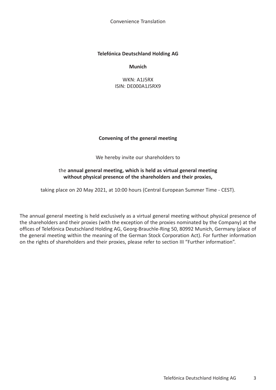## **Telefónica Deutschland Holding AG**

**Munich**

WKN: A1J5RX ISIN: DE000A1J5RX9

## **Convening of the general meeting**

We hereby invite our shareholders to

## the **annual general meeting, which is held as virtual general meeting without physical presence of the shareholders and their proxies,**

taking place on 20 May 2021, at 10:00 hours (Central European Summer Time - CEST).

The annual general meeting is held exclusively as a virtual general meeting without physical presence of the shareholders and their proxies (with the exception of the proxies nominated by the Company) at the offices of Telefónica Deutschland Holding AG, Georg-Brauchle-Ring 50, 80992 Munich, Germany (place of the general meeting within the meaning of the German Stock Corporation Act). For further information on the rights of shareholders and their proxies, please refer to section III "Further information".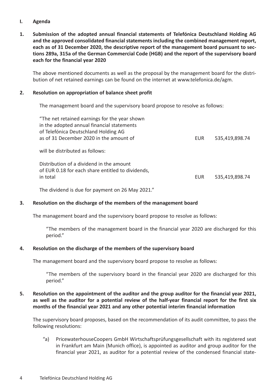## **I. Agenda**

**1. Submission of the adopted annual financial statements of Telefónica Deutschland Holding AG and the approved consolidated financial statements including the combined management report, each as of 31 December 2020, the descriptive report of the management board pursuant to sections 289a, 315a of the German Commercial Code (HGB) and the report of the supervisory board each for the financial year 2020**

The above mentioned documents as well as the proposal by the management board for the distribution of net retained earnings can be found on the internet at www.telefonica.de/agm.

#### **2. Resolution on appropriation of balance sheet profit**

The management board and the supervisory board propose to resolve as follows:

| "The net retained earnings for the year shown<br>in the adopted annual financial statements<br>of Telefónica Deutschland Holding AG<br>as of 31 December 2020 in the amount of | <b>EUR</b> | 535,419,898.74 |
|--------------------------------------------------------------------------------------------------------------------------------------------------------------------------------|------------|----------------|
| will be distributed as follows:                                                                                                                                                |            |                |
| Distribution of a dividend in the amount<br>of EUR 0.18 for each share entitled to dividends,<br>in total                                                                      | EUR        | 535,419,898.74 |

The dividend is due for payment on 26 May 2021."

## **3. Resolution on the discharge of the members of the management board**

The management board and the supervisory board propose to resolve as follows:

"The members of the management board in the financial year 2020 are discharged for this period."

#### **4. Resolution on the discharge of the members of the supervisory board**

The management board and the supervisory board propose to resolve as follows:

"The members of the supervisory board in the financial year 2020 are discharged for this period."

## **5. Resolution on the appointment of the auditor and the group auditor for the financial year 2021, as well as the auditor for a potential review of the half-year financial report for the first six months of the financial year 2021 and any other potential interim financial information**

The supervisory board proposes, based on the recommendation of its audit committee, to pass the following resolutions:

"a) PricewaterhouseCoopers GmbH Wirtschaftsprüfungsgesellschaft with its registered seat in Frankfurt am Main (Munich office), is appointed as auditor and group auditor for the financial year 2021, as auditor for a potential review of the condensed financial state-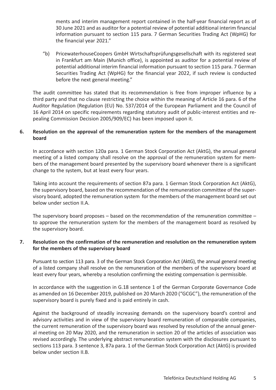ments and interim management report contained in the half-year financial report as of 30 June 2021 and as auditor for a potential review of potential additional interim financial information pursuant to section 115 para. 7 German Securities Trading Act (WpHG) for the financial year 2021."

"b) PricewaterhouseCoopers GmbH Wirtschaftsprüfungsgesellschaft with its registered seat in Frankfurt am Main (Munich office), is appointed as auditor for a potential review of potential additional interim financial information pursuant to section 115 para. 7 German Securities Trading Act (WpHG) for the financial year 2022, if such review is conducted before the next general meeting."

The audit committee has stated that its recommendation is free from improper influence by a third party and that no clause restricting the choice within the meaning of Article 16 para. 6 of the Auditor Regulation (Regulation (EU) No. 537/2014 of the European Parliament and the Council of 16 April 2014 on specific requirements regarding statutory audit of public-interest entities and repealing Commission Decision 2005/909/EC) has been imposed upon it.

# **6. Resolution on the approval of the remuneration system for the members of the management board**

In accordance with section 120a para. 1 German Stock Corporation Act (AktG), the annual general meeting of a listed company shall resolve on the approval of the remuneration system for members of the management board presented by the supervisory board whenever there is a significant change to the system, but at least every four years.

Taking into account the requirements of section 87a para. 1 German Stock Corporation Act (AktG), the supervisory board, based on the recommendation of the remuneration committee of the supervisory board, adopted the remuneration system for the members of the management board set out below under section II.A.

The supervisory board proposes – based on the recommendation of the remuneration committee – to approve the remuneration system for the members of the management board as resolved by the supervisory board.

## **7. Resolution on the confirmation of the remuneration and resolution on the remuneration system for the members of the supervisory board**

Pursuant to section 113 para. 3 of the German Stock Corporation Act (AktG), the annual general meeting of a listed company shall resolve on the remuneration of the members of the supervisory board at least every four years, whereby a resolution confirming the existing compensation is permissible.

In accordance with the suggestion in G.18 sentence 1 of the German Corporate Governance Code as amended on 16 December 2019, published on 20 March 2020 ("GCGC"), the remuneration of the supervisory board is purely fixed and is paid entirely in cash.

Against the background of steadily increasing demands on the supervisory board's control and advisory activities and in view of the supervisory board remuneration of comparable companies, the current remuneration of the supervisory board was resolved by resolution of the annual general meeting on 20 May 2020, and the remuneration in section 20 of the articles of association was revised accordingly. The underlying abstract remuneration system with the disclosures pursuant to sections 113 para. 3 sentence 3, 87a para. 1 of the German Stock Corporation Act (AktG) is provided below under section II.B.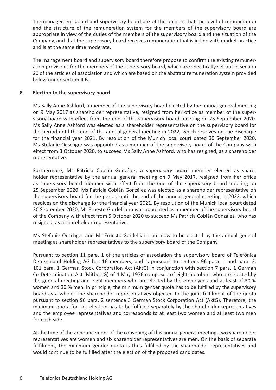The management board and supervisory board are of the opinion that the level of remuneration and the structure of the remuneration system for the members of the supervisory board are appropriate in view of the duties of the members of the supervisory board and the situation of the Company, and that the supervisory board receives remuneration that is in line with market practice and is at the same time moderate.

The management board and supervisory board therefore propose to confirm the existing remuneration provisions for the members of the supervisory board, which are specifically set out in section 20 of the articles of association and which are based on the abstract remuneration system provided below under section II.B..

## **8. Election to the supervisory board**

Ms Sally Anne Ashford, a member of the supervisory board elected by the annual general meeting on 9 May 2017 as shareholder representative, resigned from her office as member of the supervisory board with effect from the end of the supervisory board meeting on 25 September 2020. Ms Sally Anne Ashford was elected as a shareholder representative on the supervisory board for the period until the end of the annual general meeting in 2022, which resolves on the discharge for the financial year 2021. By resolution of the Munich local court dated 30 September 2020, Ms Stefanie Oeschger was appointed as a member of the supervisory board of the Company with effect from 3 October 2020, to succeed Ms Sally Anne Ashford, who has resigned, as a shareholder representative.

Furthermore, Ms Patricia Cobián González, a supervisory board member elected as shareholder representative by the annual general meeting on 9 May 2017, resigned from her office as supervisory board member with effect from the end of the supervisory board meeting on 25 September 2020. Ms Patricia Cobián González was elected as a shareholder representative on the supervisory board for the period until the end of the annual general meeting in 2022, which resolves on the discharge for the financial year 2021. By resolution of the Munich local court dated 30 September 2020, Mr Ernesto Gardelliano was appointed as a member of the supervisory board of the Company with effect from 5 October 2020 to succeed Ms Patricia Cobián González, who has resigned, as a shareholder representative.

Ms Stefanie Oeschger and Mr Ernesto Gardelliano are now to be elected by the annual general meeting as shareholder representatives to the supervisory board of the Company.

Pursuant to section 11 para. 1 of the articles of association the supervisory board of Telefónica Deutschland Holding AG has 16 members, and is pursuant to sections 96 para. 1 and para. 2, 101 para. 1 German Stock Corporation Act (AktG) in conjunction with section 7 para. 1 German Co-Determination Act (MitbestG) of 4 May 1976 composed of eight members who are elected by the general meeting and eight members who are elected by the employees and at least of 30 % women and 30 % men. In principle, the minimum gender quota has to be fulfilled by the supervisory board as a whole. The shareholder representatives objected to the joint fulfilment of the quota pursuant to section 96 para. 2 sentence 3 German Stock Corporation Act (AktG). Therefore, the minimum quota for this election has to be fulfilled separately by the shareholder representatives and the employee representatives and corresponds to at least two women and at least two men for each side.

At the time of the announcement of the convening of this annual general meeting, two shareholder representatives are women and six shareholder representatives are men. On the basis of separate fulfilment, the minimum gender quota is thus fulfilled by the shareholder representatives and would continue to be fulfilled after the election of the proposed candidates.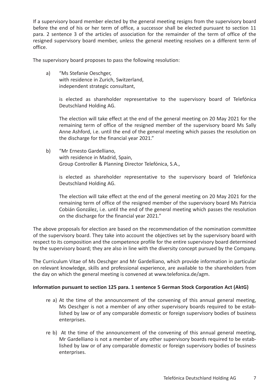If a supervisory board member elected by the general meeting resigns from the supervisory board before the end of his or her term of office, a successor shall be elected pursuant to section 11 para. 2 sentence 3 of the articles of association for the remainder of the term of office of the resigned supervisory board member, unless the general meeting resolves on a different term of office.

The supervisory board proposes to pass the following resolution:

a) "Ms Stefanie Oeschger, with residence in Zurich, Switzerland, independent strategic consultant,

> is elected as shareholder representative to the supervisory board of Telefónica Deutschland Holding AG.

> The election will take effect at the end of the general meeting on 20 May 2021 for the remaining term of office of the resigned member of the supervisory board Ms Sally Anne Ashford, i.e. until the end of the general meeting which passes the resolution on the discharge for the financial year 2021."

b) "Mr Ernesto Gardelliano, with residence in Madrid, Spain, Group Controller & Planning Director Telefónica, S.A.,

is elected as shareholder representative to the supervisory board of Telefónica Deutschland Holding AG.

The election will take effect at the end of the general meeting on 20 May 2021 for the remaining term of office of the resigned member of the supervisory board Ms Patricia Cobián González, i.e. until the end of the general meeting which passes the resolution on the discharge for the financial year 2021."

The above proposals for election are based on the recommendation of the nomination committee of the supervisory board. They take into account the objectives set by the supervisory board with respect to its composition and the competence profile for the entire supervisory board determined by the supervisory board; they are also in line with the diversity concept pursued by the Company.

The Curriculum Vitae of Ms Oeschger and Mr Gardelliano, which provide information in particular on relevant knowledge, skills and professional experience, are available to the shareholders from the day on which the general meeting is convened at www.telefonica.de/agm.

## **Information pursuant to section 125 para. 1 sentence 5 German Stock Corporation Act (AktG)**

- re a) At the time of the announcement of the convening of this annual general meeting, Ms Oeschger is not a member of any other supervisory boards required to be established by law or of any comparable domestic or foreign supervisory bodies of business enterprises.
- re b) At the time of the announcement of the convening of this annual general meeting, Mr Gardelliano is not a member of any other supervisory boards required to be established by law or of any comparable domestic or foreign supervisory bodies of business enterprises.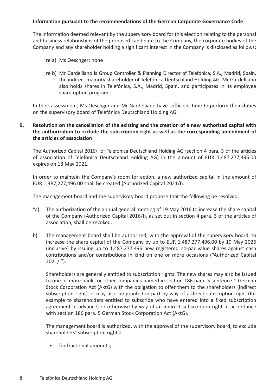## **Information pursuant to the recommendations of the German Corporate Governance Code**

The information deemed relevant by the supervisory board for this election relating to the personal and business relationships of the proposed candidate to the Company, the corporate bodies of the Company and any shareholder holding a significant interest in the Company is disclosed as follows:

- re a) Ms Oeschger: none
- re b) Mr Gardelliano is Group Controller & Planning Director of Telefónica, S.A., Madrid, Spain, the indirect majority shareholder of Telefónica Deutschland Holding AG. Mr Gardelliano also holds shares in Telefónica, S.A., Madrid, Spain, and participates in its employee share option program.

In their assessment, Ms Oeschger and Mr Gardelliano have sufficient time to perform their duties on the supervisory board of Telefónica Deutschland Holding AG.

# **9. Resolution on the cancellation of the existing and the creation of a new authorized capital with the authorization to exclude the subscription right as well as the corresponding amendment of the articles of association**

The Authorized Capital 2016/I of Telefónica Deutschland Holding AG (section 4 para. 3 of the articles of association of Telefónica Deutschland Holding AG) in the amount of EUR 1,487,277,496.00 expires on 18 May 2021.

In order to maintain the Company's room for action, a new authorized capital in the amount of EUR 1,487,277,496.00 shall be created (Authorized Capital 2021/I).

The management board and the supervisory board propose that the following be resolved:

- "a) The authorization of the annual general meeting of 19 May 2016 to increase the share capital of the Company (Authorized Capital 2016/I), as set out in section 4 para. 3 of the articles of association, shall be revoked.
- b) The management board shall be authorized, with the approval of the supervisory board, to increase the share capital of the Company by up to EUR 1,487,277,496.00 by 19 May 2026 (inclusive) by issuing up to 1,487,277,496 new registered no-par value shares against cash contributions and/or contributions in kind on one or more occasions ("Authorized Capital  $2021/1"$ ).

Shareholders are generally entitled to subscription rights. The new shares may also be issued to one or more banks or other companies named in section 186 para. 5 sentence 1 German Stock Corporation Act (AktG) with the obligation to offer them to the shareholders (indirect subscription right) or may also be granted in part by way of a direct subscription right (for example to shareholders entitled to subscribe who have entered into a fixed subscription agreement in advance) or otherwise by way of an indirect subscription right in accordance with section 186 para. 5 German Stock Corporation Act (AktG).

The management board is authorized, with the approval of the supervisory board, to exclude shareholders' subscription rights:

• for fractional amounts: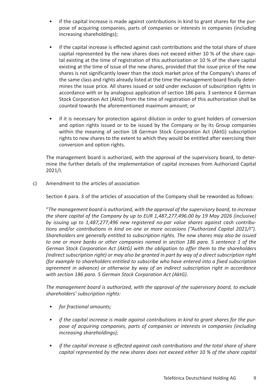- if the capital increase is made against contributions in kind to grant shares for the purpose of acquiring companies, parts of companies or interests in companies (including increasing shareholdings);
- if the capital increase is effected against cash contributions and the total share of share capital represented by the new shares does not exceed either 10 % of the share capital existing at the time of registration of this authorization or 10 % of the share capital existing at the time of issue of the new shares, provided that the issue price of the new shares is not significantly lower than the stock market price of the Company's shares of the same class and rights already listed at the time the management board finally determines the issue price. All shares issued or sold under exclusion of subscription rights in accordance with or by analogous application of section 186 para. 3 sentence 4 German Stock Corporation Act (AktG) from the time of registration of this authorization shall be counted towards the aforementioned maximum amount; or
- if it is necessary for protection against dilution in order to grant holders of conversion and option rights issued or to be issued by the Company or by its Group companies within the meaning of section 18 German Stock Corporation Act (AktG) subscription rights to new shares to the extent to which they would be entitled after exercising their conversion and option rights.

The management board is authorized, with the approval of the supervisory board, to determine the further details of the implementation of capital increases from Authorized Capital 2021/I.

c) Amendment to the articles of association

Section 4 para. 3 of the articles of association of the Company shall be reworded as follows:

"*The management board is authorized, with the approval of the supervisory board, to increase the share capital of the Company by up to EUR 1,487,277,496.00 by 19 May 2026 (inclusive) by issuing up to 1,487,277,496 new registered no-par value shares against cash contributions and/or contributions in kind on one or more occasions ("Authorized Capital 2021/I"). Shareholders are generally entitled to subscription rights. The new shares may also be issued to one or more banks or other companies named in section 186 para. 5 sentence 1 of the German Stock Corporation Act (AktG) with the obligation to offer them to the shareholders (indirect subscription right) or may also be granted in part by way of a direct subscription right (for example to shareholders entitled to subscribe who have entered into a fixed subscription agreement in advance) or otherwise by way of an indirect subscription right in accordance with section 186 para. 5 German Stock Corporation Act (AktG).*

*The management board is authorized, with the approval of the supervisory board, to exclude shareholders' subscription rights:*

- *• for fractional amounts;*
- *• if the capital increase is made against contributions in kind to grant shares for the purpose of acquiring companies, parts of companies or interests in companies (including increasing shareholdings);*
- *• if the capital increase is effected against cash contributions and the total share of share capital represented by the new shares does not exceed either 10 % of the share capital*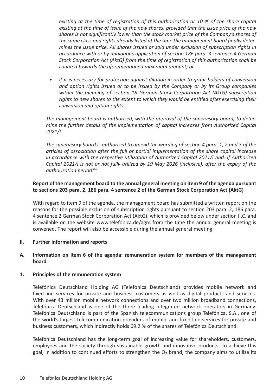*existing at the time of registration of this authorization or 10 % of the share capital existing at the time of issue of the new shares, provided that the issue price of the new shares is not significantly lower than the stock market price of the Company's shares of the same class and rights already listed at the time the management board finally determines the issue price. All shares issued or sold under exclusion of subscription rights in accordance with or by analogous application of section 186 para. 3 sentence 4 German Stock Corporation Act (AktG) from the time of registration of this authorization shall be counted towards the aforementioned maximum amount; or* 

*• if it is necessary for protection against dilution in order to grant holders of conversion and option rights issued or to be issued by the Company or by its Group companies within the meaning of section 18 German Stock Corporation Act (AktG) subscription rights to new shares to the extent to which they would be entitled after exercising their conversion and option rights.* 

*The management board is authorized, with the approval of the supervisory board, to determine the further details of the implementation of capital increases from Authorized Capital 2021/I.*

*The supervisory board is authorized to amend the wording of section 4 para. 1, 2 and 3 of the articles of association after the full or partial implementation of the share capital increase in accordance with the respective utilization of Authorized Capital 2021/I and, if Authorized Capital 2021/I is not or not fully utilized by 19 May 2026 (inclusive), after the expiry of the authorization period*.""

## **Report of the management board to the annual general meeting on item 9 of the agenda pursuant to sections 203 para. 2, 186 para. 4 sentence 2 of the German Stock Corporation Act (AktG)**

With regard to item 9 of the agenda, the management board has submitted a written report on the reasons for the possible exclusion of subscription rights pursuant to section 203 para. 2, 186 para. 4 sentence 2 German Stock Corporation Act (AktG), which is provided below under section II.C. and is available on the website www.telefonica.de/agm from the time the annual general meeting is convened. The report will also be accessible during the annual general meeting.

## **II. Further information and reports**

## **A. Information on item 6 of the agenda: remuneration system for members of the management board**

## **1. Principles of the remuneration system**

Telefónica Deutschland Holding AG (Telefónica Deutschland) provides mobile network and fixed-line services for private and business customers as well as digital products and services. With over 43 million mobile network connections and over two million broadband connections, Telefónica Deutschland is one of the three leading integrated network operators in Germany. Telefónica Deutschland is part of the Spanish telecommunications group Telefónica, S.A., one of the world's largest telecommunication providers of mobile and fixed-line services for private and business customers, which indirectly holds 69.2 % of the shares of Telefónica Deutschland.

Telefónica Deutschland has the long-term goal of increasing value for shareholders, customers, employees and the society through sustainable growth and innovative products. To achieve this goal, in addition to continued efforts to strengthen the  $O<sub>2</sub>$  brand, the company aims to utilize its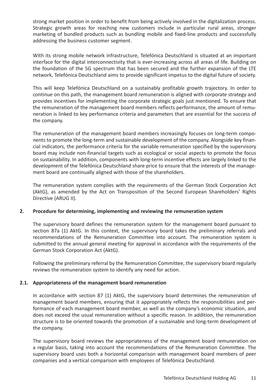strong market position in order to benefit from being actively involved in the digitalization process. Strategic growth areas for reaching new customers include in particular rural areas, stronger marketing of bundled products such as bundling mobile and fixed-line products and successfully addressing the business customer segment.

With its strong mobile network infrastructure, Telefónica Deutschland is situated at an important interface for the digital interconnectivity that is ever-increasing across all areas of life. Building on the foundation of the 5G spectrum that has been secured and the further expansion of the LTE network, Telefónica Deutschland aims to provide significant impetus to the digital future of society.

This will keep Telefónica Deutschland on a sustainably profitable growth trajectory. In order to continue on this path, the management board remuneration is aligned with corporate strategy and provides incentives for implementing the corporate strategic goals just mentioned. To ensure that the remuneration of the management board members reflects performance, the amount of remuneration is linked to key performance criteria and parameters that are essential for the success of the company.

The remuneration of the management board members increasingly focuses on long-term components to promote the long-term and sustainable development of the company. Alongside key financial indicators, the performance criteria for the variable remuneration specified by the supervisory board may include non-financial targets such as ecological or social aspects to promote the focus on sustainability. In addition, components with long-term incentive effects are largely linked to the development of the Telefónica Deutschland share price to ensure that the interests of the management board are continually aligned with those of the shareholders.

The remuneration system complies with the requirements of the German Stock Corporation Act (AktG), as amended by the Act on Transposition of the Second European Shareholders' Rights Directive (ARUG II).

# **2. Procedure for determining, implementing and reviewing the remuneration system**

The supervisory board defines the remuneration system for the management board pursuant to section 87a (1) AktG. In this context, the supervisory board takes the preliminary referrals and recommendations of the Remuneration Committee into account. The remuneration system is submitted to the annual general meeting for approval in accordance with the requirements of the German Stock Corporation Act (AktG).

Following the preliminary referral by the Remuneration Committee, the supervisory board regularly reviews the remuneration system to identify any need for action.

## **2.1. Appropriateness of the management board remuneration**

In accordance with section 87 (1) AktG, the supervisory board determines the remuneration of management board members, ensuring that it appropriately reflects the responsibilities and performance of each management board member, as well as the company's economic situation, and does not exceed the usual remuneration without a specific reason. In addition, the remuneration structure is to be oriented towards the promotion of a sustainable and long-term development of the company.

The supervisory board reviews the appropriateness of the management board remuneration on a regular basis, taking into account the recommendations of the Remuneration Committee. The supervisory board uses both a horizontal comparison with management board members of peer companies and a vertical comparison with employees of Telefónica Deutschland.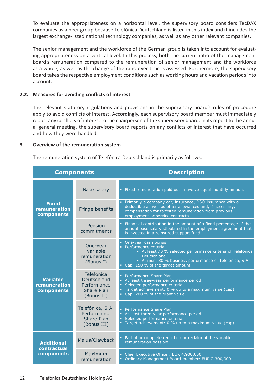To evaluate the appropriateness on a horizontal level, the supervisory board considers TecDAX companies as a peer group because Telefónica Deutschland is listed in this index and it includes the largest exchange-listed national technology companies, as well as any other relevant companies.

The senior management and the workforce of the German group is taken into account for evaluating appropriateness on a vertical level. In this process, both the current ratio of the management board's remuneration compared to the remuneration of senior management and the workforce as a whole, as well as the change of the ratio over time is assessed. Furthermore, the supervisory board takes the respective employment conditions such as working hours and vacation periods into account.

## **2.2. Measures for avoiding conflicts of interest**

The relevant statutory regulations and provisions in the supervisory board's rules of procedure apply to avoid conflicts of interest. Accordingly, each supervisory board member must immediately report any conflicts of interest to the chairperson of the supervisory board. In its report to the annual general meeting, the supervisory board reports on any conflicts of interest that have occurred and how they were handled.

## **3. Overview of the remuneration system**

The remuneration system of Telefónica Deutschland is primarily as follows:

| <b>Components</b>                             |                                                                             | <b>Description</b>                                                                                                                                                                                                            |  |
|-----------------------------------------------|-----------------------------------------------------------------------------|-------------------------------------------------------------------------------------------------------------------------------------------------------------------------------------------------------------------------------|--|
|                                               | Base salary                                                                 | . Fixed remuneration paid out in twelve equal monthly amounts                                                                                                                                                                 |  |
| <b>Fixed</b><br>remuneration<br>components    | Fringe benefits                                                             | • Primarily a company car, insurance, D&O insurance with a<br>deductible as well as other allowances and, if necessary,<br>compensation for forfeited remuneration from previous<br>employment or service contracts           |  |
|                                               | Pension<br>commitments                                                      | Financial contribution in the amount of a fixed percentage of the<br>annual base salary stipulated in the employment agreement that<br>is invested in a reinsured support fund                                                |  |
|                                               | One-year<br>variable<br>remuneration<br>(Bonus I)                           | • One-year cash bonus<br>• Performance criteria<br>- At least 70 % selected performance criteria of Telefónica<br>Deutschland<br>- At most 30 % business performance of Telefónica, S.A.<br>• Cap: 150 % of the target amount |  |
| <b>Variable</b><br>remuneration<br>components | Telefónica<br>Deutschland<br>Performance<br><b>Share Plan</b><br>(Bonus II) | • Performance Share Plan<br>• At least three-year performance period<br>Selected performance criteria<br>Target achievement: 0 % up to a maximum value (cap)<br>Cap: 200 % of the grant value                                 |  |
|                                               | Telefónica, S.A.<br>Performance<br><b>Share Plan</b><br>(Bonus III)         | • Performance Share Plan<br>• At least three-year performance period<br>• Selected performance criteria<br>• Target achievement: 0 % up to a maximum value (cap)                                                              |  |
| <b>Additional</b>                             | Malus/Clawback                                                              | • Partial or complete reduction or reclaim of the variable<br>remuneration possible                                                                                                                                           |  |
| contractual<br>components                     | Maximum<br>remuneration                                                     | • Chief Executive Officer: EUR 4,900,000<br>• Ordinary Management Board member: EUR 2,300,000                                                                                                                                 |  |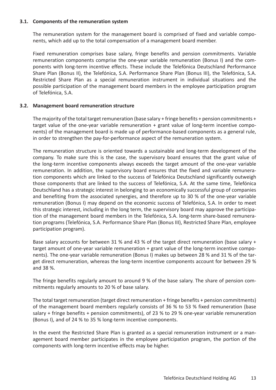## **3.1. Components of the remuneration system**

The remuneration system for the management board is comprised of fixed and variable components, which add up to the total compensation of a management board member.

Fixed remuneration comprises base salary, fringe benefits and pension commitments. Variable remuneration components comprise the one-year variable remuneration (Bonus I) and the components with long-term incentive effects. These include the Telefónica Deutschland Performance Share Plan (Bonus II), the Telefónica, S.A. Performance Share Plan (Bonus III), the Telefónica, S.A. Restricted Share Plan as a special remuneration instrument in individual situations and the possible participation of the management board members in the employee participation program of Telefónica, S.A.

## **3.2. Management board remuneration structure**

The majority of the total target remuneration (base salary + fringe benefits + pension commitments + target value of the one-year variable remuneration + grant value of long-term incentive components) of the management board is made up of performance-based components as a general rule, in order to strengthen the pay-for-performance aspect of the remuneration system.

The remuneration structure is oriented towards a sustainable and long-term development of the company. To make sure this is the case, the supervisory board ensures that the grant value of the long-term incentive components always exceeds the target amount of the one-year variable remuneration. In addition, the supervisory board ensures that the fixed and variable remuneration components which are linked to the success of Telefónica Deutschland significantly outweigh those components that are linked to the success of Telefónica, S.A. At the same time, Telefónica Deutschland has a strategic interest in belonging to an economically successful group of companies and benefiting from the associated synergies, and therefore up to 30 % of the one-year variable remuneration (Bonus I) may depend on the economic success of Telefónica, S.A. In order to meet this strategic interest, including in the long term, the supervisory board may approve the participation of the management board members in the Telefónica, S.A. long-term share-based remuneration programs (Telefónica, S.A. Performance Share Plan (Bonus III), Restricted Share Plan, employee participation program).

Base salary accounts for between 31 % and 43 % of the target direct remuneration (base salary + target amount of one-year variable remuneration + grant value of the long-term incentive components). The one-year variable remuneration (Bonus I) makes up between 28 % and 31 % of the target direct remuneration, whereas the long-term incentive components account for between 29 % and 38 %.

The fringe benefits regularly amount to around 9 % of the base salary. The share of pension commitments regularly amounts to 20 % of base salary.

The total target remuneration (target direct remuneration + fringe benefits + pension commitments) of the management board members regularly consists of 36 % to 53 % fixed remuneration (base salary + fringe benefits + pension commitments), of 23 % to 29 % one-year variable remuneration (Bonus I), and of 24 % to 35 % long-term incentive components.

In the event the Restricted Share Plan is granted as a special remuneration instrument or a management board member participates in the employee participation program, the portion of the components with long-term incentive effects may be higher.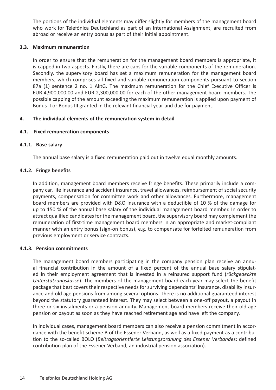The portions of the individual elements may differ slightly for members of the management board who work for Telefónica Deutschland as part of an International Assignment, are recruited from abroad or receive an entry bonus as part of their initial appointment.

## **3.3. Maximum remuneration**

In order to ensure that the remuneration for the management board members is appropriate, it is capped in two aspects. Firstly, there are caps for the variable components of the remuneration. Secondly, the supervisory board has set a maximum remuneration for the management board members, which comprises all fixed and variable remuneration components pursuant to section 87a (1) sentence 2 no. 1 AktG. The maximum remuneration for the Chief Executive Officer is EUR 4,900,000.00 and EUR 2,300,000.00 for each of the other management board members. The possible capping of the amount exceeding the maximum remuneration is applied upon payment of Bonus II or Bonus III granted in the relevant financial year and due for payment.

## **4. The individual elements of the remuneration system in detail**

## **4.1. Fixed remuneration components**

## **4.1.1. Base salary**

The annual base salary is a fixed remuneration paid out in twelve equal monthly amounts.

## **4.1.2. Fringe benefits**

In addition, management board members receive fringe benefits. These primarily include a company car, life insurance and accident insurance, travel allowances, reimbursement of social security payments, compensation for committee work and other allowances. Furthermore, management board members are provided with D&O insurance with a deductible of 10 % of the damage for up to 150 % of the annual base salary of the individual management board member. In order to attract qualified candidates for the management board, the supervisory board may complement the remuneration of first-time management board members in an appropriate and market-compliant manner with an entry bonus (sign-on bonus), e.g. to compensate for forfeited remuneration from previous employment or service contracts.

## **4.1.3. Pension commitments**

The management board members participating in the company pension plan receive an annual financial contribution in the amount of a fixed percent of the annual base salary stipulated in their employment agreement that is invested in a reinsured support fund (*rückgedeckte Unterstützungskasse*). The members of the management board each year may select the benefit package that best covers their respective needs for surviving dependants' insurance, disability insurance and old age pensions from among several options. There is no additional guaranteed interest beyond the statutory guaranteed interest. They may select between a one-off payout, a payout in three or six instalments or a pension annuity. Management board members receive their old-age pension or payout as soon as they have reached retirement age and have left the company.

In individual cases, management board members can also receive a pension commitment in accordance with the benefit scheme B of the Essener Verband, as well as a fixed payment as a contribution to the so-called BOLO (*Beitragsorientierte Leistungsordnung des Essener Verbande*s: defined contribution plan of the Essener Verband, an industrial pension association).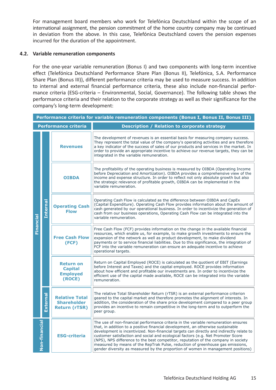For management board members who work for Telefónica Deutschland within the scope of an international assignment, the pension commitment of the home country company may be continued in deviation from the above. In this case, Telefónica Deutschland covers the pension expenses incurred for the duration of the appointment.

## **4.2. Variable remuneration components**

For the one-year variable remuneration (Bonus I) and two components with long-term incentive effect (Telefónica Deutschland Performance Share Plan (Bonus II), Telefónica, S.A. Performance Share Plan (Bonus III)), different performance criteria may be used to measure success. In addition to internal and external financial performance criteria, these also include non-financial performance criteria (ESG-criteria – Environmental, Social, Governance). The following table shows the performance criteria and their relation to the corporate strategy as well as their significance for the company's long-term development:

|           | Performance criteria for variable remuneration components (Bonus I, Bonus II, Bonus III) |                                                                     |                                                                                                                                                                                                                                                                                                                                                                                                                                                                                                                                                                                                                   |  |
|-----------|------------------------------------------------------------------------------------------|---------------------------------------------------------------------|-------------------------------------------------------------------------------------------------------------------------------------------------------------------------------------------------------------------------------------------------------------------------------------------------------------------------------------------------------------------------------------------------------------------------------------------------------------------------------------------------------------------------------------------------------------------------------------------------------------------|--|
|           |                                                                                          | <b>Performance criteria</b>                                         | <b>Description / Relation to corporate strategy</b>                                                                                                                                                                                                                                                                                                                                                                                                                                                                                                                                                               |  |
| Financial |                                                                                          | <b>Revenues</b>                                                     | The development of revenues is an essential basis for measuring company success.<br>They represent the total value of the company's operating activities and are therefore<br>a key indicator of the success of sales of our products and services in the market. In<br>order to provide an appropriate incentive to achieve our revenue targets, they can be<br>integrated in the variable remuneration.                                                                                                                                                                                                         |  |
|           | <b>Internal</b>                                                                          | <b>OIBDA</b>                                                        | The profitability of the operating business is measured by OIBDA (Operating Income<br>before Depreciation and Amortization). OIBDA provides a comprehensive view of the<br>income and expense structure. In order to reflect not only absolute growth but also<br>the strategic relevance of profitable growth, OIBDA can be implemented in the<br>variable remuneration.                                                                                                                                                                                                                                         |  |
|           |                                                                                          | <b>Operating Cash</b><br><b>Flow</b>                                | Operating Cash Flow is calculated as the difference between OIBDA and CapEx<br>(Capital Expenditure). Operating Cash Flow provides information about the amount of<br>cash generated by our operational business. In order to incentivize the generation of<br>cash from our business operations, Operating Cash Flow can be integrated into the<br>variable remuneration.                                                                                                                                                                                                                                        |  |
|           |                                                                                          | <b>Free Cash Flow</b><br>(FCF)                                      | Free Cash Flow (FCF) provides information on the change in the available financial<br>resources, which enable us, for example, to make growth investments to ensure the<br>expansion of the network as well as product development, to make dividend<br>payments or to service financial liabilities. Due to this significance, the integration of<br>FCF into the variable remuneration can ensure an adequate incentive to achieve<br>operational targets.                                                                                                                                                      |  |
|           |                                                                                          | <b>Return on</b><br><b>Capital</b><br><b>Employed</b><br>(ROCE)     | Return on Capital Employed (ROCE) is calculated as the quotient of EBIT (Earnings<br>before Interest and Taxes) and the capital employed. ROCE provides information<br>about how efficient and profitable our investments are. In order to incentivize the<br>efficient use of the capital made available, ROCE can be integrated into the variable<br>remuneration.                                                                                                                                                                                                                                              |  |
|           | External                                                                                 | <b>Relative Total</b><br><b>Shareholder</b><br><b>Return (rTSR)</b> | The relative Total Shareholder Return (rTSR) is an external performance criterion<br>geared to the capital market and therefore promotes the alignment of interests. In<br>addition, the consideration of the share price development compared to a peer group<br>provides an incentive to remain competitive in the long-term and to outperform the<br>peer group.                                                                                                                                                                                                                                               |  |
|           | Non-financial                                                                            | <b>ESG-criteria</b>                                                 | The use of non-financial performance criteria in the variable remuneration ensures<br>that, in addition to a positive financial development, an otherwise sustainable<br>development is incentivized. Non-financial targets can directly and indirectly relate to<br>customer satisfaction and social and ecological factors (e.g. Net Promoter Score<br>(NPS), NPS difference to the best competitor, reputation of the company in society<br>measured by means of the RepTrak Pulse, reduction of greenhouse gas emissions,<br>gender diversity as measured by the proportion of women in management positions) |  |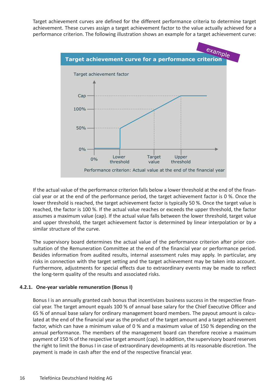Target achievement curves are defined for the different performance criteria to determine target achievement. These curves assign a target achievement factor to the value actually achieved for a performance criterion. The following illustration shows an example for a target achievement curve:



If the actual value of the performance criterion falls below a lower threshold at the end of the financial year or at the end of the performance period, the target achievement factor is 0 %. Once the lower threshold is reached, the target achievement factor is typically 50 %. Once the target value is reached, the factor is 100 %. If the actual value reaches or exceeds the upper threshold, the factor assumes a maximum value (cap). If the actual value falls between the lower threshold, target value and upper threshold, the target achievement factor is determined by linear interpolation or by a similar structure of the curve.

The supervisory board determines the actual value of the performance criterion after prior consultation of the Remuneration Committee at the end of the financial year or performance period. Besides information from audited results, internal assessment rules may apply. In particular, any risks in connection with the target setting and the target achievement may be taken into account. Furthermore, adjustments for special effects due to extraordinary events may be made to reflect the long-term quality of the results and associated risks.

## **4.2.1. One-year variable remuneration (Bonus I)**

Bonus I is an annually granted cash bonus that incentivizes business success in the respective financial year. The target amount equals 100 % of annual base salary for the Chief Executive Officer and 65 % of annual base salary for ordinary management board members. The payout amount is calculated at the end of the financial year as the product of the target amount and a target achievement factor, which can have a minimum value of 0 % and a maximum value of 150 % depending on the annual performance. The members of the management board can therefore receive a maximum payment of 150 % of the respective target amount (cap). In addition, the supervisory board reserves the right to limit the Bonus I in case of extraordinary developments at its reasonable discretion. The payment is made in cash after the end of the respective financial year.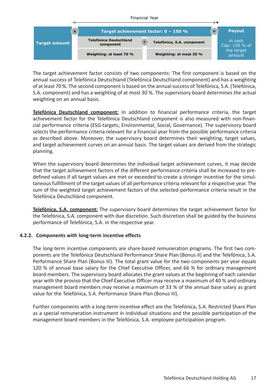

The target achievement factor consists of two components: The first component is based on the annual success of Telefónica Deutschland (Telefónica Deutschland component) and has a weighting of at least 70 %. The second component is based on the annual success of Telefónica, S.A. (Telefónica, S.A. component) and has a weighting of at most 30 %. The supervisory board determines the actual weighting on an annual basis.

**Telefónica Deutschland component:** In addition to financial performance criteria, the target achievement factor for the Telefónica Deutschland component is also measured with non-financial performance criteria (ESG-targets; Environmental, Social, Governance). The supervisory board selects the performance criteria relevant for a financial year from the possible performance criteria as described above. Moreover, the supervisory board determines their weighting, target values, and target achievement curves on an annual basis. The target values are derived from the strategic planning.

When the supervisory board determines the individual target achievement curves, it may decide that the target achievement factors of the different performance criteria shall be increased to predefined values if all target values are met or exceeded to create a stronger incentive for the simultaneous fulfillment of the target values of all performance criteria relevant for a respective year. The sum of the weighted target achievement factors of the selected performance criteria result in the Telefónica Deutschland component.

**Telefónica, S.A. component:** The supervisory board determines the target achievement factor for the Telefónica, S.A. component with due discretion. Such discretion shall be guided by the business performance of Telefónica, S.A. in the respective year.

# **4.2.2. Components with long-term incentive effects**

The long-term incentive components are share-based remuneration programs. The first two components are the Telefónica Deutschland Performance Share Plan (Bonus II) and the Telefónica, S.A. Performance Share Plan (Bonus III). The total grant value for the two components per year equals 120 % of annual base salary for the Chief Executive Officer, and 66 % for ordinary management board members. The supervisory board allocates the grant values at the beginning of each calendar year with the proviso that the Chief Executive Officer may receive a maximum of 40 % and ordinary management board members may receive a maximum of 33 % of the annual base salary as grant value for the Telefónica, S.A. Performance Share Plan (Bonus III).

Further components with a long-term incentive effect are the Telefónica, S.A. Restricted Share Plan as a special remuneration instrument in individual situations and the possible participation of the management board members in the Telefónica, S.A. employee participation program.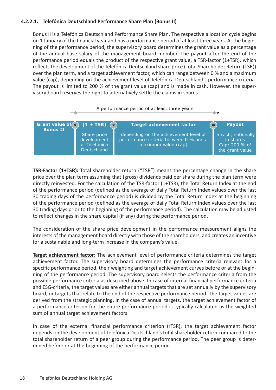# **4.2.2.1. Telefónica Deutschland Performance Share Plan (Bonus II)**

Bonus II is a Telefónica Deutschland Performance Share Plan. The respective allocation cycle begins on 1 January of the financial year and has a performance period of at least three years. At the beginning of the performance period, the supervisory board determines the grant value as a percentage of the annual base salary of the management board member. The payout after the end of the performance period equals the product of the respective grant value, a TSR-factor (1+TSR), which reflects the development of the Telefónica Deutschland share price (Total Shareholder Return (TSR)) over the plan term, and a target achievement factor, which can range between 0 % and a maximum value (cap), depending on the achievement level of Telefónica Deutschland's performance criteria. The payout is limited to 200 % of the grant value (cap) and is made in cash. However, the supervisory board reserves the right to alternatively settle the claims in shares.



**TSR-Factor (1+TSR):** Total shareholder return ("TSR") means the percentage change in the share price over the plan term assuming that (gross) dividends paid per share during the plan term were directly reinvested. For the calculation of the TSR-factor (1+TSR), the Total Return Index at the end of the performance period (defined as the average of daily Total Return Index values over the last 30 trading days of the performance period) is divided by the Total Return Index at the beginning of the performance period (defined as the average of daily Total Return Index values over the last 30 trading days prior to the beginning of the performance period). The calculation may be adjusted to reflect changes in the share capital (if any) during the performance period.

The consideration of the share price development in the performance measurement aligns the interests of the management board directly with those of the shareholders, and creates an incentive for a sustainable and long-term increase in the company's value.

**Target achievement factor:** The achievement level of performance criteria determines the target achievement factor. The supervisory board determines the performance criteria relevant for a specific performance period, their weighting and target achievement curves before or at the beginning of the performance period. The supervisory board selects the performance criteria from the possible performance criteria as described above. In case of internal financial performance criteria and ESG-criteria, the target values are either annual targets that are set annually by the supervisory board, or targets that relate to the end of the respective performance period. The target values are derived from the strategic planning. In the case of annual targets, the target achievement factor of a performance criterion for the entire performance period is typically calculated as the weighted sum of annual target achievement factors.

In case of the external financial performance criterion (rTSR), the target achievement factor depends on the development of Telefónica Deutschland's total shareholder return compared to the total shareholder return of a peer group during the performance period. The peer group is determined before or at the beginning of the performance period.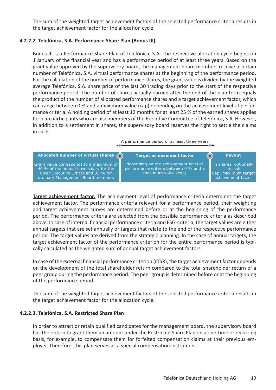The sum of the weighted target achievement factors of the selected performance criteria results in the target achievement factor for the allocation cycle.

## **4.2.2.2. Telefónica, S.A. Performance Share Plan (Bonus III)**

Bonus III is a Performance Share Plan of Telefónica, S.A. The respective allocation cycle begins on 1 January of the financial year and has a performance period of at least three years. Based on the grant value approved by the supervisory board, the management board members receive a certain number of Telefónica, S.A. virtual performance shares at the beginning of the performance period. For the calculation of the number of performance shares, the grant value is divided by the weighted average Telefónica, S.A. share price of the last 30 trading days prior to the start of the respective performance period. The number of shares actually earned after the end of the plan term equals the product of the number of allocated performance shares and a target achievement factor, which can range between 0 % and a maximum value (cap) depending on the achievement level of performance criteria. A holding period of at least 12 months for at least 25 % of the earned shares applies for plan participants who are also members of the Executive Committee of Telefónica, S.A. However, in addition to a settlement in shares, the supervisory board reserves the right to settle the claims in cash.

A performance period of at least three years



**Target achievement factor:** The achievement level of performance criteria determines the target achievement factor. The performance criteria relevant for a performance period, their weighting and target achievement curves are determined before or at the beginning of the performance period. The performance criteria are selected from the possible performance criteria as described above. In case of internal financial performance criteria and ESG-criteria, the target values are either annual targets that are set annually or targets that relate to the end of the respective performance period. The target values are derived from the strategic planning. In the case of annual targets, the target achievement factor of the performance criterion for the entire performance period is typically calculated as the weighted sum of annual target achievement factors.

In case of the external financial performance criterion (rTSR), the target achievement factor depends on the development of the total shareholder return compared to the total shareholder return of a peer group during the performance period. The peer group is determined before or at the beginning of the performance period.

The sum of the weighted target achievement factors of the selected performance criteria results in the target achievement factor for the allocation cycle.

## **4.2.2.3. Telefónica, S.A. Restricted Share Plan**

In order to attract or retain qualified candidates for the management board, the supervisory board has the option to grant them an amount under the Restricted Share Plan on a one-time or recurring basis, for example, to compensate them for forfeited compensation claims at their previous employer. Therefore, this plan serves as a special compensation instrument.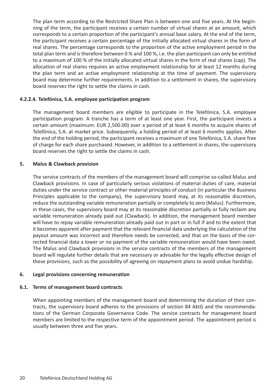The plan term according to the Restricted Share Plan is between one and five years. At the beginning of the term, the participant receives a certain number of virtual shares at an amount, which corresponds to a certain proportion of the participant's annual base salary. At the end of the term, the participant receives a certain percentage of the initially allocated virtual shares in the form of real shares. The percentage corresponds to the proportion of the active employment period in the total plan term and is therefore between 0 % and 100 %, i.e. the plan participant can only be entitled to a maximum of 100 % of the initially allocated virtual shares in the form of real shares (cap). The allocation of real shares requires an active employment relationship for at least 12 months during the plan term and an active employment relationship at the time of payment. The supervisory board may determine further requirements. In addition to a settlement in shares, the supervisory board reserves the right to settle the claims in cash.

## **4.2.2.4. Telefónica, S.A. employee participation program**

The management board members are eligible to participate in the Telefónica, S.A. employee participation program. A tranche has a term of at least one year. First, the participant invests a certain amount (maximum: EUR 2,500.00) over a period of at least 6 months to acquire shares of Telefónica, S.A. at market price. Subsequently, a holding period of at least 6 months applies. After the end of the holding period, the participant receives a maximum of one Telefónica, S.A. share free of charge for each share purchased. However, in addition to a settlement in shares, the supervisory board reserves the right to settle the claims in cash.

## **5. Malus & Clawback provision**

The service contracts of the members of the management board will comprise so-called Malus and Clawback provisions. In case of particularly serious violations of material duties of care, material duties under the service contract or other material principles of conduct (in particular the Business Principles applicable to the company), the supervisory board may, at its reasonable discretion, reduce the outstanding variable remuneration partially or completely to zero (Malus). Furthermore, in these cases, the supervisory board may at its reasonable discretion partially or fully reclaim any variable remuneration already paid out (Clawback). In addition, the management board member will have to repay variable remuneration already paid out in part or in full if and to the extent that it becomes apparent after payment that the relevant financial data underlying the calculation of the payout amount was incorrect and therefore needs be corrected, and that on the basis of the corrected financial data a lower or no payment of the variable remuneration would have been owed. The Malus and Clawback provisions in the service contracts of the members of the management board will regulate further details that are necessary or advisable for the legally effective design of these provisions, such as the possibility of agreeing on repayment plans to avoid undue hardship.

## **6. Legal provisions concerning remuneration**

## **6.1. Terms of management board contracts**

When appointing members of the management board and determining the duration of their contracts, the supervisory board adheres to the provisions of section 84 AktG and the recommendations of the German Corporate Governance Code. The service contracts for management board members are limited to the respective term of the appointment period. The appointment period is usually between three and five years.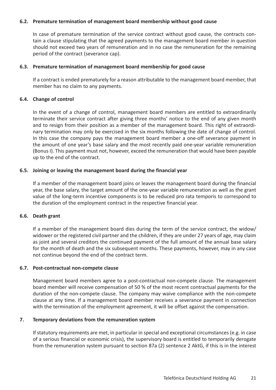## **6.2. Premature termination of management board membership without good cause**

In case of premature termination of the service contract without good cause, the contracts contain a clause stipulating that the agreed payments to the management board member in question should not exceed two years of remuneration and in no case the remuneration for the remaining period of the contract (severance cap).

## **6.3. Premature termination of management board membership for good cause**

If a contract is ended prematurely for a reason attributable to the management board member, that member has no claim to any payments.

#### **6.4. Change of control**

In the event of a change of control, management board members are entitled to extraordinarily terminate their service contract after giving three months' notice to the end of any given month and to resign from their position as a member of the management board. This right of extraordinary termination may only be exercised in the six months following the date of change of control. In this case the company pays the management board member a one-off severance payment in the amount of one year's base salary and the most recently paid one-year variable remuneration (Bonus I). This payment must not, however, exceed the remuneration that would have been payable up to the end of the contract.

#### **6.5. Joining or leaving the management board during the financial year**

If a member of the management board joins or leaves the management board during the financial year, the base salary, the target amount of the one-year variable remuneration as well as the grant value of the long-term incentive components is to be reduced pro rata temporis to correspond to the duration of the employment contract in the respective financial year.

#### **6.6. Death grant**

If a member of the management board dies during the term of the service contract, the widow/ widower or the registered civil partner and the children, if they are under 27 years of age, may claim as joint and several creditors the continued payment of the full amount of the annual base salary for the month of death and the six subsequent months. These payments, however, may in any case not continue beyond the end of the contract term.

## **6.7. Post-contractual non-compete clause**

Management board members agree to a post-contractual non-compete clause. The management board member will receive compensation of 50 % of the most recent contractual payments for the duration of the non-compete clause. The company may waive compliance with the non-compete clause at any time. If a management board member receives a severance payment in connection with the termination of the employment agreement, it will be offset against the compensation.

#### **7. Temporary deviations from the remuneration system**

If statutory requirements are met, in particular in special and exceptional circumstances (e.g. in case of a serious financial or economic crisis), the supervisory board is entitled to temporarily derogate from the remuneration system pursuant to section 87a (2) sentence 2 AktG, if this is in the interest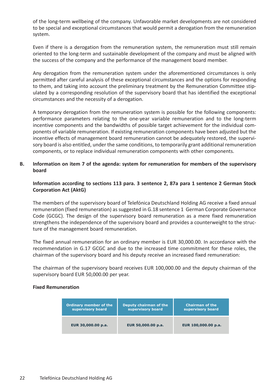of the long-term wellbeing of the company. Unfavorable market developments are not considered to be special and exceptional circumstances that would permit a derogation from the remuneration system.

Even if there is a derogation from the remuneration system, the remuneration must still remain oriented to the long-term and sustainable development of the company and must be aligned with the success of the company and the performance of the management board member.

Any derogation from the remuneration system under the aforementioned circumstances is only permitted after careful analysis of these exceptional circumstances and the options for responding to them, and taking into account the preliminary treatment by the Remuneration Committee stipulated by a corresponding resolution of the supervisory board that has identified the exceptional circumstances and the necessity of a derogation.

A temporary derogation from the remuneration system is possible for the following components: performance parameters relating to the one-year variable remuneration and to the long-term incentive components and the bandwidths of possible target achievement for the individual components of variable remuneration. If existing remuneration components have been adjusted but the incentive effects of management board remuneration cannot be adequately restored, the supervisory board is also entitled, under the same conditions, to temporarily grant additional remuneration components, or to replace individual remuneration components with other components.

## **B. Information on item 7 of the agenda: system for remuneration for members of the supervisory board**

## **Information according to sections 113 para. 3 sentence 2, 87a para 1 sentence 2 German Stock Corporation Act (AktG)**

The members of the supervisory board of Telefónica Deutschland Holding AG receive a fixed annual remuneration (fixed remuneration) as suggested in G.18 sentence 1 German Corporate Governance Code (GCGC). The design of the supervisory board remuneration as a mere fixed remuneration strengthens the independence of the supervisory board and provides a counterweight to the structure of the management board remuneration.

The fixed annual remuneration for an ordinary member is EUR 30,000.00. In accordance with the recommendation in G.17 GCGC and due to the increased time commitment for these roles, the chairman of the supervisory board and his deputy receive an increased fixed remuneration:

The chairman of the supervisory board receives EUR 100,000.00 and the deputy chairman of the supervisory board EUR 50,000.00 per year.

## **Fixed Remuneration**

| <b>Ordinary member of the</b> | Deputy chairman of the | <b>Chairman of the</b> |
|-------------------------------|------------------------|------------------------|
| supervisory board             | supervisory board      | supervisory board      |
| EUR 30,000.00 p.a.            | EUR 50,000.00 p.a.     | EUR 100,000.00 p.a.    |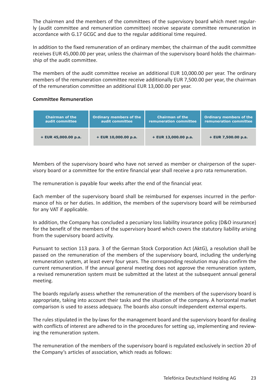The chairmen and the members of the committees of the supervisory board which meet regularly (audit committee and remuneration committee) receive separate committee remuneration in accordance with G.17 GCGC and due to the regular additional time required.

In addition to the fixed remuneration of an ordinary member, the chairman of the audit committee receives EUR 45,000.00 per year, unless the chairman of the supervisory board holds the chairmanship of the audit committee.

The members of the audit committee receive an additional EUR 10,000.00 per year. The ordinary members of the remuneration committee receive additionally EUR 7,500.00 per year, the chairman of the remuneration committee an additional EUR 13,000.00 per year.

## **Committee Remuneration**

| <b>Chairman of the</b> | <b>Ordinary members of the</b> | <b>Chairman of the</b> | <b>Ordinary members of the</b> |
|------------------------|--------------------------------|------------------------|--------------------------------|
| audit committee        | audit committee                | remuneration committee | remuneration committee         |
| $+$ EUR 45,000.00 p.a. | $+$ EUR 10,000.00 p.a.         | $+$ EUR 13,000.00 p.a. | + EUR 7,500.00 p.a.            |

Members of the supervisory board who have not served as member or chairperson of the supervisory board or a committee for the entire financial year shall receive a pro rata remuneration.

The remuneration is payable four weeks after the end of the financial year.

Each member of the supervisory board shall be reimbursed for expenses incurred in the performance of his or her duties. In addition, the members of the supervisory board will be reimbursed for any VAT if applicable.

In addition, the Company has concluded a pecuniary loss liability insurance policy (D&O insurance) for the benefit of the members of the supervisory board which covers the statutory liability arising from the supervisory board activity.

Pursuant to section 113 para. 3 of the German Stock Corporation Act (AktG), a resolution shall be passed on the remuneration of the members of the supervisory board, including the underlying remuneration system, at least every four years. The corresponding resolution may also confirm the current remuneration. If the annual general meeting does not approve the remuneration system, a revised remuneration system must be submitted at the latest at the subsequent annual general meeting.

The boards regularly assess whether the remuneration of the members of the supervisory board is appropriate, taking into account their tasks and the situation of the company. A horizontal market comparison is used to assess adequacy. The boards also consult independent external experts.

The rules stipulated in the by-laws for the management board and the supervisory board for dealing with conflicts of interest are adhered to in the procedures for setting up, implementing and reviewing the remuneration system.

The remuneration of the members of the supervisory board is regulated exclusively in section 20 of the Company's articles of association, which reads as follows: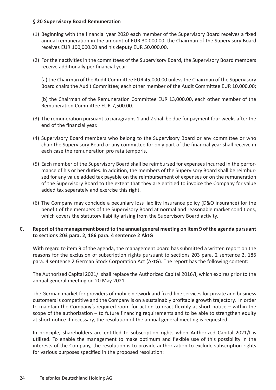## **§ 20 Supervisory Board Remuneration**

- (1) Beginning with the financial year 2020 each member of the Supervisory Board receives a fixed annual remuneration in the amount of EUR 30,000.00, the Chairman of the Supervisory Board receives EUR 100,000.00 and his deputy EUR 50,000.00.
- (2) For their activities in the committees of the Supervisory Board, the Supervisory Board members receive additionally per financial year:

(a) the Chairman of the Audit Committee EUR 45,000.00 unless the Chairman of the Supervisory Board chairs the Audit Committee; each other member of the Audit Committee EUR 10,000.00;

(b) the Chairman of the Remuneration Committee EUR 13,000.00, each other member of the Remuneration Committee EUR 7,500.00.

- (3) The remuneration pursuant to paragraphs 1 and 2 shall be due for payment four weeks after the end of the financial year.
- (4) Supervisory Board members who belong to the Supervisory Board or any committee or who chair the Supervisory Board or any committee for only part of the financial year shall receive in each case the remuneration pro rata temporis.
- (5) Each member of the Supervisory Board shall be reimbursed for expenses incurred in the performance of his or her duties. In addition, the members of the Supervisory Board shall be reimbursed for any value added tax payable on the reimbursement of expenses or on the remuneration of the Supervisory Board to the extent that they are entitled to invoice the Company for value added tax separately and exercise this right.
- (6) The Company may conclude a pecuniary loss liability insurance policy (D&O insurance) for the benefit of the members of the Supervisory Board at normal and reasonable market conditions, which covers the statutory liability arising from the Supervisory Board activity.

## **C. Report of the management board to the annual general meeting on item 9 of the agenda pursuant to sections 203 para. 2, 186 para. 4 sentence 2 AktG**

With regard to item 9 of the agenda, the management board has submitted a written report on the reasons for the exclusion of subscription rights pursuant to sections 203 para. 2 sentence 2, 186 para. 4 sentence 2 German Stock Corporation Act (AktG). The report has the following content:

The Authorized Capital 2021/I shall replace the Authorized Capital 2016/I, which expires prior to the annual general meeting on 20 May 2021.

The German market for providers of mobile network and fixed-line services for private and business customers is competitive and the Company is on a sustainably profitable growth trajectory. In order to maintain the Company's required room for action to react flexibly at short notice – within the scope of the authorization – to future financing requirements and to be able to strengthen equity at short notice if necessary, the resolution of the annual general meeting is requested.

In principle, shareholders are entitled to subscription rights when Authorized Capital 2021/I is utilized. To enable the management to make optimum and flexible use of this possibility in the interests of the Company, the resolution is to provide authorization to exclude subscription rights for various purposes specified in the proposed resolution: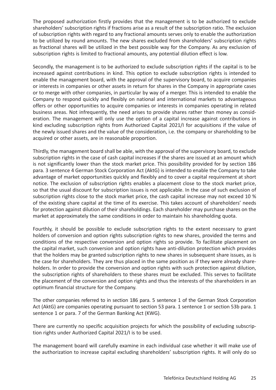The proposed authorization firstly provides that the management is to be authorized to exclude shareholders' subscription rights if fractions arise as a result of the subscription ratio. The exclusion of subscription rights with regard to any fractional amounts serves only to enable the authorization to be utilized by round amounts. The new shares excluded from shareholders' subscription rights as fractional shares will be utilized in the best possible way for the Company. As any exclusion of subscription rights is limited to fractional amounts, any potential dilution effect is low.

Secondly, the management is to be authorized to exclude subscription rights if the capital is to be increased against contributions in kind. This option to exclude subscription rights is intended to enable the management board, with the approval of the supervisory board, to acquire companies or interests in companies or other assets in return for shares in the Company in appropriate cases or to merge with other companies, in particular by way of a merger. This is intended to enable the Company to respond quickly and flexibly on national and international markets to advantageous offers or other opportunities to acquire companies or interests in companies operating in related business areas. Not infrequently, the need arises to provide shares rather than money as consideration. The management will only use the option of a capital increase against contributions in kind excluding subscription rights from Authorized Capital 2021/I for acquisitions if the value of the newly issued shares and the value of the consideration, i.e. the company or shareholding to be acquired or other assets, are in reasonable proportion.

Thirdly, the management board shall be able, with the approval of the supervisory board, to exclude subscription rights in the case of cash capital increases if the shares are issued at an amount which is not significantly lower than the stock market price. This possibility provided for by section 186 para. 3 sentence 4 German Stock Corporation Act (AktG) is intended to enable the Company to take advantage of market opportunities quickly and flexibly and to cover a capital requirement at short notice. The exclusion of subscription rights enables a placement close to the stock market price, so that the usual discount for subscription issues is not applicable. In the case of such exclusion of subscription rights close to the stock market price, the cash capital increase may not exceed 10 % of the existing share capital at the time of its exercise. This takes account of shareholders' needs for protection against dilution of their shareholdings. Each shareholder may purchase shares on the market at approximately the same conditions in order to maintain his shareholding quota.

Fourthly, it should be possible to exclude subscription rights to the extent necessary to grant holders of conversion and option rights subscription rights to new shares, provided the terms and conditions of the respective conversion and option rights so provide. To facilitate placement on the capital market, such conversion and option rights have anti-dilution protection which provides that the holders may be granted subscription rights to new shares in subsequent share issues, as is the case for shareholders. They are thus placed in the same position as if they were already shareholders. In order to provide the conversion and option rights with such protection against dilution, the subscription rights of shareholders to these shares must be excluded. This serves to facilitate the placement of the conversion and option rights and thus the interests of the shareholders in an optimum financial structure for the Company.

The other companies referred to in section 186 para. 5 sentence 1 of the German Stock Corporation Act (AktG) are companies operating pursuant to section 53 para. 1 sentence 1 or section 53b para. 1 sentence 1 or para. 7 of the German Banking Act (KWG).

There are currently no specific acquisition projects for which the possibility of excluding subscription rights under Authorized Capital 2021/I is to be used.

The management board will carefully examine in each individual case whether it will make use of the authorization to increase capital excluding shareholders' subscription rights. It will only do so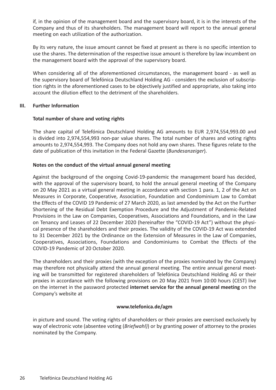if, in the opinion of the management board and the supervisory board, it is in the interests of the Company and thus of its shareholders. The management board will report to the annual general meeting on each utilization of the authorization.

By its very nature, the issue amount cannot be fixed at present as there is no specific intention to use the shares. The determination of the respective issue amount is therefore by law incumbent on the management board with the approval of the supervisory board.

When considering all of the aforementioned circumstances, the management board - as well as the supervisory board of Telefónica Deutschland Holding AG - considers the exclusion of subscription rights in the aforementioned cases to be objectively justified and appropriate, also taking into account the dilution effect to the detriment of the shareholders.

## **III. Further Information**

## **Total number of share and voting rights**

The share capital of Telefónica Deutschland Holding AG amounts to EUR 2,974,554,993.00 and is divided into 2,974,554,993 non-par value shares. The total number of shares and voting rights amounts to 2,974,554,993. The Company does not hold any own shares. These figures relate to the date of publication of this invitation in the Federal Gazette (*Bundesanzeiger*).

## **Notes on the conduct of the virtual annual general meeting**

Against the background of the ongoing Covid-19-pandemic the management board has decided, with the approval of the supervisory board, to hold the annual general meeting of the Company on 20 May 2021 as a virtual general meeting in accordance with section 1 para. 1, 2 of the Act on Measures in Corporate, Cooperative, Association, Foundation and Condominium Law to Combat the Effects of the COVID 19 Pandemic of 27 March 2020, as last amended by the Act on the Further Shortening of the Residual Debt Exemption Procedure and the Adjustment of Pandemic-Related Provisions in the Law on Companies, Cooperatives, Associations and Foundations, and in the Law on Tenancy and Leases of 22 December 2020 (hereinafter the "COVID-19 Act") without the physical presence of the shareholders and their proxies. The validity of the COVID-19 Act was extended to 31 December 2021 by the Ordinance on the Extension of Measures in the Law of Companies, Cooperatives, Associations, Foundations and Condominiums to Combat the Effects of the COVID-19 Pandemic of 20 October 2020.

The shareholders and their proxies (with the exception of the proxies nominated by the Company) may therefore not physically attend the annual general meeting. The entire annual general meeting will be transmitted for registered shareholders of Telefónica Deutschland Holding AG or their proxies in accordance with the following provisions on 20 May 2021 from 10:00 hours (CEST) live on the internet in the password protected **internet service for the annual general meeting** on the Company's website at

## **www.telefonica.de/agm**

in picture and sound. The voting rights of shareholders or their proxies are exercised exclusively by way of electronic vote (absentee voting (*Briefwahl)*) or by granting power of attorney to the proxies nominated by the Company.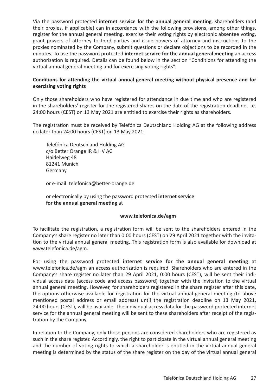Via the password protected **internet service for the annual general meeting**, shareholders (and their proxies, if applicable) can in accordance with the following provisions, among other things, register for the annual general meeting, exercise their voting rights by electronic absentee voting, grant powers of attorney to third parties and issue powers of attorney and instructions to the proxies nominated by the Company, submit questions or declare objections to be recorded in the minutes. To use the password protected **internet service for the annual general meeting** an access authorization is required. Details can be found below in the section "Conditions for attending the virtual annual general meeting and for exercising voting rights".

## **Conditions for attending the virtual annual general meeting without physical presence and for exercising voting rights**

Only those shareholders who have registered for attendance in due time and who are registered in the shareholders' register for the registered shares on the date of the registration deadline, i.e. 24:00 hours (CEST) on 13 May 2021 are entitled to exercise their rights as shareholders.

The registration must be received by Telefónica Deutschland Holding AG at the following address no later than 24:00 hours (CEST) on 13 May 2021:

Telefónica Deutschland Holding AG c/o Better Orange IR & HV AG Haidelweg 48 81241 Munich Germany

or e-mail: telefonica@better-orange.de

or electronically by using the password protected **internet service for the annual general meeting** at

## **www.telefonica.de/agm**

To facilitate the registration, a registration form will be sent to the shareholders entered in the Company's share register no later than 0:00 hours (CEST) on 29 April 2021 together with the invitation to the virtual annual general meeting. This registration form is also available for download at www.telefonica.de/agm.

For using the password protected **internet service for the annual general meeting** at www.telefonica.de/agm an access authorization is required. Shareholders who are entered in the Company's share register no later than 29 April 2021, 0:00 hours (CEST), will be sent their individual access data (access code and access password) together with the invitation to the virtual annual general meeting. However, for shareholders registered in the share register after this date, the options otherwise available for registration for the virtual annual general meeting (to above mentioned postal address or email address) until the registration deadline on 13 May 2021, 24:00 hours (CEST), will be available. The individual access data for the password protected internet service for the annual general meeting will be sent to these shareholders after receipt of the registration by the Company.

In relation to the Company, only those persons are considered shareholders who are registered as such in the share register. Accordingly, the right to participate in the virtual annual general meeting and the number of voting rights to which a shareholder is entitled in the virtual annual general meeting is determined by the status of the share register on the day of the virtual annual general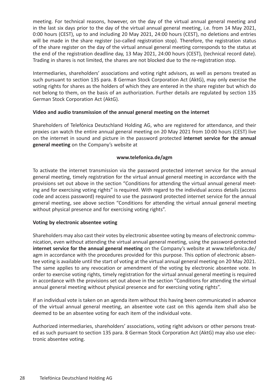meeting. For technical reasons, however, on the day of the virtual annual general meeting and in the last six days prior to the day of the virtual annual general meeting, i.e. from 14 May 2021, 0:00 hours (CEST), up to and including 20 May 2021, 24:00 hours (CEST), no deletions and entries will be made in the share register (so-called registration stop). Therefore, the registration status of the share register on the day of the virtual annual general meeting corresponds to the status at the end of the registration deadline day, 13 May 2021, 24:00 hours (CEST), (technical record date). Trading in shares is not limited, the shares are not blocked due to the re-registration stop.

Intermediaries, shareholders' associations and voting right advisors, as well as persons treated as such pursuant to section 135 para. 8 German Stock Corporation Act (AktG), may only exercise the voting rights for shares as the holders of which they are entered in the share register but which do not belong to them, on the basis of an authorization. Further details are regulated by section 135 German Stock Corporation Act (AktG).

## **Video and audio transmission of the annual general meeting on the internet**

Shareholders of Telefónica Deutschland Holding AG, who are registered for attendance, and their proxies can watch the entire annual general meeting on 20 May 2021 from 10:00 hours (CEST) live on the internet in sound and picture in the password protected **internet service for the annual general meeting** on the Company's website at

## **www.telefonica.de/agm**

To activate the internet transmission via the password protected internet service for the annual general meeting, timely registration for the virtual annual general meeting in accordance with the provisions set out above in the section "Conditions for attending the virtual annual general meeting and for exercising voting rights" is required. With regard to the individual access details (access code and access password) required to use the password protected internet service for the annual general meeting, see above section "Conditions for attending the virtual annual general meeting without physical presence and for exercising voting rights".

## **Voting by electronic absentee voting**

Shareholders may also cast their votes by electronic absentee voting by means of electronic communication, even without attending the virtual annual general meeting, using the password-protected **internet service for the annual general meeting** on the Company's website at www.telefonica.de/ agm in accordance with the procedures provided for this purpose. This option of electronic absentee voting is available until the start of voting at the virtual annual general meeting on 20 May 2021. The same applies to any revocation or amendment of the voting by electronic absentee vote. In order to exercise voting rights, timely registration for the virtual annual general meeting is required in accordance with the provisions set out above in the section "Conditions for attending the virtual annual general meeting without physical presence and for exercising voting rights".

If an individual vote is taken on an agenda item without this having been communicated in advance of the virtual annual general meeting, an absentee vote cast on this agenda item shall also be deemed to be an absentee voting for each item of the individual vote.

Authorized intermediaries, shareholders' associations, voting right advisors or other persons treated as such pursuant to section 135 para. 8 German Stock Corporation Act (AktG) may also use electronic absentee voting.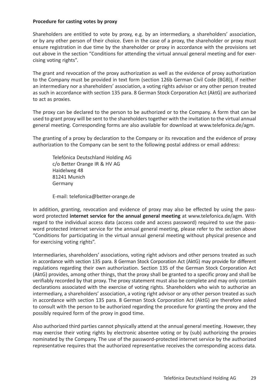## **Procedure for casting votes by proxy**

Shareholders are entitled to vote by proxy, e.g. by an intermediary, a shareholders' association, or by any other person of their choice. Even in the case of a proxy, the shareholder or proxy must ensure registration in due time by the shareholder or proxy in accordance with the provisions set out above in the section "Conditions for attending the virtual annual general meeting and for exercising voting rights".

The grant and revocation of the proxy authorization as well as the evidence of proxy authorization to the Company must be provided in text form (section 126b German Civil Code (BGB)), if neither an intermediary nor a shareholders' association, a voting rights advisor or any other person treated as such in accordance with section 135 para. 8 German Stock Corporation Act (AktG) are authorized to act as proxies.

The proxy can be declared to the person to be authorized or to the Company. A form that can be used to grant proxy will be sent to the shareholders together with the invitation to the virtual annual general meeting. Corresponding forms are also available for download at www.telefonica.de/agm.

The granting of a proxy by declaration to the Company or its revocation and the evidence of proxy authorization to the Company can be sent to the following postal address or email address:

Telefónica Deutschland Holding AG c/o Better Orange IR & HV AG Haidelweg 48 81241 Munich Germany

E-mail: telefonica@better-orange.de

In addition, granting, revocation and evidence of proxy may also be effected by using the password protected **internet service for the annual general meeting** at www.telefonica.de/agm. With regard to the individual access data (access code and access password) required to use the password protected internet service for the annual general meeting, please refer to the section above "Conditions for participating in the virtual annual general meeting without physical presence and for exercising voting rights".

Intermediaries, shareholders' associations, voting right advisors and other persons treated as such in accordance with section 135 para. 8 German Stock Corporation Act (AktG) may provide for different regulations regarding their own authorization. Section 135 of the German Stock Corporation Act (AktG) provides, among other things, that the proxy shall be granted to a specific proxy and shall be verifiably recorded by that proxy. The proxy statement must also be complete and may only contain declarations associated with the exercise of voting rights. Shareholders who wish to authorize an intermediary, a shareholders' association, a voting right advisor or any other person treated as such in accordance with section 135 para. 8 German Stock Corporation Act (AktG) are therefore asked to consult with the person to be authorized regarding the procedure for granting the proxy and the possibly required form of the proxy in good time.

Also authorized third parties cannot physically attend at the annual general meeting. However, they may exercise their voting rights by electronic absentee voting or by (sub) authorizing the proxies nominated by the Company. The use of the password-protected internet service by the authorized representative requires that the authorized representative receives the corresponding access data.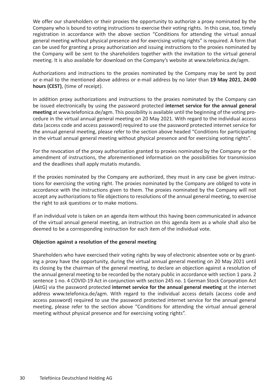We offer our shareholders or their proxies the opportunity to authorize a proxy nominated by the Company who is bound to voting instructions to exercise their voting rights. In this case, too, timely registration in accordance with the above section "Conditions for attending the virtual annual general meeting without physical presence and for exercising voting rights" is required. A form that can be used for granting a proxy authorization and issuing instructions to the proxies nominated by the Company will be sent to the shareholders together with the invitation to the virtual general meeting. It is also available for download on the Company's website at www.telefonica.de/agm.

Authorizations and instructions to the proxies nominated by the Company may be sent by post or e-mail to the mentioned above address or e-mail address by no later than **19 May 2021**, **24:00 hours (CEST)**, (time of receipt).

In addition proxy authorizations and instructions to the proxies nominated by the Company can be issued electronically by using the password protected **internet service for the annual general meeting** at www.telefonica.de/agm. This possibility is available until the beginning of the voting procedure in the virtual annual general meeting on 20 May 2021. With regard to the individual access data (access code and access password) required to use the password protected internet service for the annual general meeting, please refer to the section above headed "Conditions for participating in the virtual annual general meeting without physical presence and for exercising voting rights".

For the revocation of the proxy authorization granted to proxies nominated by the Company or the amendment of instructions, the aforementioned information on the possibilities for transmission and the deadlines shall apply mutatis mutandis.

If the proxies nominated by the Company are authorized, they must in any case be given instructions for exercising the voting right. The proxies nominated by the Company are obliged to vote in accordance with the instructions given to them. The proxies nominated by the Company will not accept any authorizations to file objections to resolutions of the annual general meeting, to exercise the right to ask questions or to make motions.

If an individual vote is taken on an agenda item without this having been communicated in advance of the virtual annual general meeting, an instruction on this agenda item as a whole shall also be deemed to be a corresponding instruction for each item of the individual vote.

## **Objection against a resolution of the general meeting**

Shareholders who have exercised their voting rights by way of electronic absentee vote or by granting a proxy have the opportunity, during the virtual annual general meeting on 20 May 2021 until its closing by the chairman of the general meeting, to declare an objection against a resolution of the annual general meeting to be recorded by the notary public in accordance with section 1 para. 2 sentence 1 no. 4 COVID-19 Act in conjunction with section 245 no. 1 German Stock Corporation Act (AktG) via the password protected **internet service for the annual general meeting** at the internet address www.telefonica.de/agm. With regard to the individual access details (access code and access password) required to use the password protected internet service for the annual general meeting, please refer to the section above "Conditions for attending the virtual annual general meeting without physical presence and for exercising voting rights".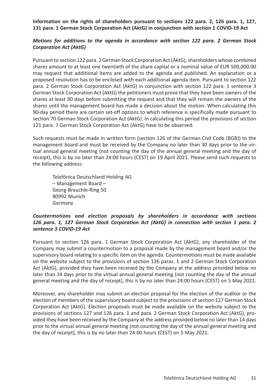**Information on the rights of shareholders pursuant to sections 122 para. 2, 126 para. 1, 127, 131 para. 1 German Stock Corporation Act (AktG) in conjunction with section 1 COVID-19 Act**

## *Motions for additions to the agenda in accordance with section 122 para. 2 German Stock Corporation Act (AktG)*

Pursuant to section 122 para. 2 German Stock Corporation Act (AktG), shareholders whose combined shares amount to at least one twentieth of the share capital or a nominal value of EUR 500,000.00 may request that additional items are added to the agenda and published. An explanation or a proposed resolution has to be enclosed with each additional agenda item. Pursuant to section 122 para. 2 German Stock Corporation Act (AktG) in conjunction with section 122 para. 1 sentence 3 German Stock Corporation Act (AktG) the petitioners must prove that they have been owners of the shares at least 90 days before submitting the request and that they will remain the owners of the shares until the management board has made a decision about the motion. When calculating this 90-day period there are certain set-off options to which reference is specifically made pursuant to section 70 German Stock Corporation Act (AktG). In calculating this period the provisions of section 121 para. 7 German Stock Corporation Act (AktG) have to be observed.

Such requests must be made in written form (section 126 of the German Civil Code (BGB)) to the management board and must be received by the Company no later than 30 days prior to the virtual annual general meeting (not counting the day of the annual general meeting and the day of receipt), this is by no later than 24:00 hours (CEST) on 19 April 2021. Please send such requests to the following address:

Telefónica Deutschland Holding AG – Management Board – Georg-Brauchle-Ring 50 80992 Munich Germany

## *Countermotions and election proposals by shareholders in accordance with sections 126 para. 1, 127 German Stock Corporation Act (AktG) in connection with section 1 para. 2 sentence 3 COVID-19 Act*

Pursuant to section 126 para. 1 German Stock Corporation Act (AktG), any shareholder of the Company may submit a countermotion to a proposal made by the management board and/or the supervisory board relating to a specific item on the agenda. Countermotions must be made available on the website subject to the provisions of section 126 paras. 1 and 2 German Stock Corporation Act (AktG), provided they have been received by the Company at the address provided below no later than 14 days prior to the virtual annual general meeting (not counting the day of the annual general meeting and the day of receipt), this is by no later than 24:00 hours (CEST) on 5 May 2021.

Moreover, any shareholder may submit an election proposal for the election of the auditor or the election of members of the supervisory board subject to the provisions of section 127 German Stock Corporation Act (AktG). Election proposals must be made available on the website subject to the provisions of sections 127 and 126 para. 1 and para. 2 German Stock Corporation Act (AktG), provided they have been received by the Company at the address provided below no later than 14 days prior to the virtual annual general meeting (not counting the day of the annual general meeting and the day of receipt), this is by no later than 24:00 hours (CEST) on 5 May 2021.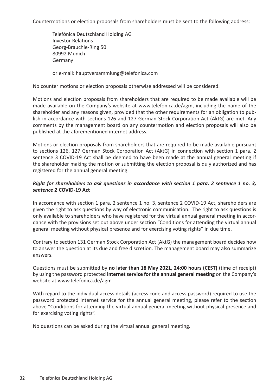Countermotions or election proposals from shareholders must be sent to the following address:

Telefónica Deutschland Holding AG Investor Relations Georg-Brauchle-Ring 50 80992 Munich Germany

or e-mail: hauptversammlung@telefonica.com

No counter motions or election proposals otherwise addressed will be considered.

Motions and election proposals from shareholders that are required to be made available will be made available on the Company's website at www.telefonica.de/agm, including the name of the shareholder and any reasons given, provided that the other requirements for an obligation to publish in accordance with sections 126 and 127 German Stock Corporation Act (AktG) are met. Any comments by the management board on any countermotion and election proposals will also be published at the aforementioned internet address.

Motions or election proposals from shareholders that are required to be made available pursuant to sections 126, 127 German Stock Corporation Act (AktG) in connection with section 1 para. 2 sentence 3 COVID-19 Act shall be deemed to have been made at the annual general meeting if the shareholder making the motion or submitting the election proposal is duly authorized and has registered for the annual general meeting.

## *Right for shareholders to ask questions in accordance with section 1 para. 2 sentence 1 no. 3, sentence 2* **COVID-19 Act**

In accordance with section 1 para. 2 sentence 1 no. 3, sentence 2 COVID-19 Act, shareholders are given the right to ask questions by way of electronic communication. The right to ask questions is only available to shareholders who have registered for the virtual annual general meeting in accordance with the provisions set out above under section "Conditions for attending the virtual annual general meeting without physical presence and for exercising voting rights" in due time.

Contrary to section 131 German Stock Corporation Act (AktG) the management board decides how to answer the question at its due and free discretion. The management board may also summarize answers.

Questions must be submitted by **no later than 18 May 2021, 24:00 hours (CEST)** (time of receipt) by using the password protected **internet service for the annual general meeting** on the Company's website at www.telefonica.de/agm

With regard to the individual access details (access code and access password) required to use the password protected internet service for the annual general meeting, please refer to the section above "Conditions for attending the virtual annual general meeting without physical presence and for exercising voting rights".

No questions can be asked during the virtual annual general meeting.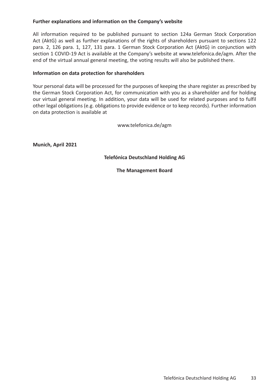# **Further explanations and information on the Company's website**

All information required to be published pursuant to section 124a German Stock Corporation Act (AktG) as well as further explanations of the rights of shareholders pursuant to sections 122 para. 2, 126 para. 1, 127, 131 para. 1 German Stock Corporation Act (AktG) in conjunction with section 1 COVID-19 Act is available at the Company's website at www.telefonica.de/agm. After the end of the virtual annual general meeting, the voting results will also be published there.

## **Information on data protection for shareholders**

Your personal data will be processed for the purposes of keeping the share register as prescribed by the German Stock Corporation Act, for communication with you as a shareholder and for holding our virtual general meeting. In addition, your data will be used for related purposes and to fulfil other legal obligations (e.g. obligations to provide evidence or to keep records). Further information on data protection is available at

www.telefonica.de/agm

**Munich, April 2021**

**Telefónica Deutschland Holding AG**

**The Management Board**